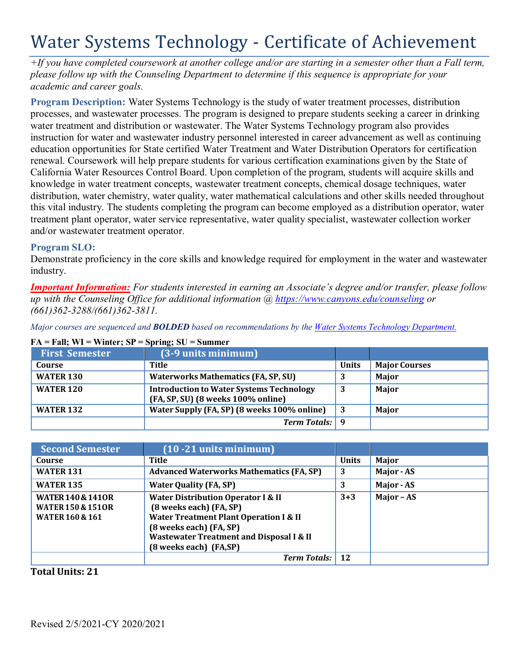# Water Systems Technology - Certificate of Achievement

*+If you have completed coursework at another college and/or are starting in a semester other than a Fall term, please follow up with the Counseling Department to determine if this sequence is appropriate for your academic and career goals.*

**Program Description:** Water Systems Technology is the study of water treatment processes, distribution processes, and wastewater processes. The program is designed to prepare students seeking a career in drinking water treatment and distribution or wastewater. The Water Systems Technology program also provides instruction for water and wastewater industry personnel interested in career advancement as well as continuing education opportunities for State certified Water Treatment and Water Distribution Operators for certification renewal. Coursework will help prepare students for various certification examinations given by the State of California Water Resources Control Board. Upon completion of the program, students will acquire skills and knowledge in water treatment concepts, wastewater treatment concepts, chemical dosage techniques, water distribution, water chemistry, water quality, water mathematical calculations and other skills needed throughout this vital industry. The students completing the program can become employed as a distribution operator, water treatment plant operator, water service representative, water quality specialist, wastewater collection worker and/or wastewater treatment operator.

## **Program SLO:**

Demonstrate proficiency in the core skills and knowledge required for employment in the water and wastewater industry.

*Important Information: For students interested in earning an Associate's degree and/or transfer, please follow up with the Counseling Office for additional information @ https:/[/www.canyons.edu/counseling](http://www.canyons.edu/counseling) or (661)362-3288/(661)362-3811.*

*Major courses are sequenced and BOLDED based on recommendations by the Water Systems Technology Department.*

| <b>First Semester</b> | (3-9 units minimum)                                                                   |              |                      |
|-----------------------|---------------------------------------------------------------------------------------|--------------|----------------------|
| Course                | Title                                                                                 | <b>Units</b> | <b>Major Courses</b> |
| <b>WATER 130</b>      | <b>Waterworks Mathematics (FA, SP, SU)</b>                                            |              | Major                |
| <b>WATER 120</b>      | <b>Introduction to Water Systems Technology</b><br>(FA, SP, SU) (8 weeks 100% online) | 3            | Major                |
| <b>WATER 132</b>      | Water Supply (FA, SP) (8 weeks 100% online)                                           | 3            | Major                |
|                       | <b>Term Totals:</b> 9                                                                 |              |                      |

#### **FA = Fall; WI = Winter; SP = Spring; SU = Summer**

| <b>Second Semester</b>                                                                     | $(10 - 21$ units minimum)                                                                                                                                                                                                                 |              |            |
|--------------------------------------------------------------------------------------------|-------------------------------------------------------------------------------------------------------------------------------------------------------------------------------------------------------------------------------------------|--------------|------------|
| Course                                                                                     | Title                                                                                                                                                                                                                                     | <b>Units</b> | Major      |
| <b>WATER 131</b>                                                                           | <b>Advanced Waterworks Mathematics (FA, SP)</b>                                                                                                                                                                                           | 3            | Major - AS |
| <b>WATER 135</b>                                                                           | <b>Water Quality (FA, SP)</b>                                                                                                                                                                                                             | 3            | Major - AS |
| <b>WATER 140 &amp; 1410R</b><br><b>WATER 150 &amp; 151OR</b><br><b>WATER 160 &amp; 161</b> | <b>Water Distribution Operator I &amp; II</b><br>(8 weeks each) (FA, SP)<br><b>Water Treatment Plant Operation I &amp; II</b><br>(8 weeks each) (FA, SP)<br><b>Wastewater Treatment and Disposal I &amp; II</b><br>(8 weeks each) (FA,SP) | $3+3$        | Major - AS |
|                                                                                            | <b>Term Totals:</b>                                                                                                                                                                                                                       | 12           |            |

**Total Units: 21**